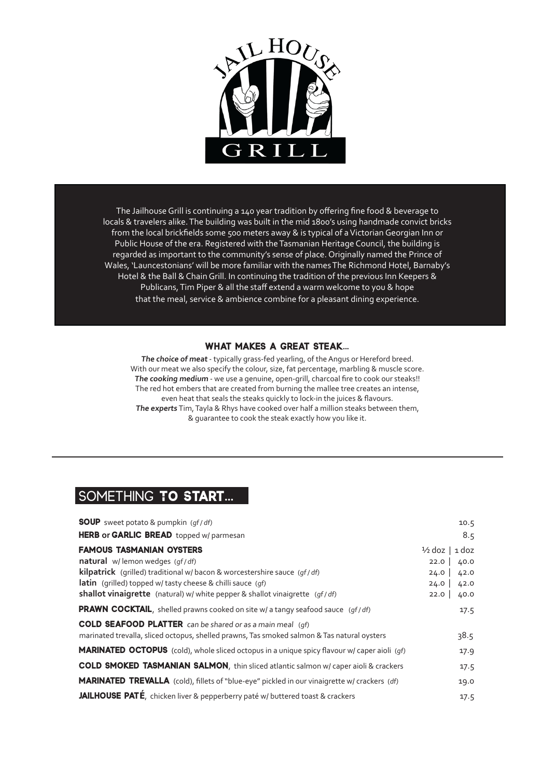

The Jailhouse Grill is continuing a 140 year tradition by offering fine food & beverage to locals & travelers alike. The building was built in the mid 1800's using handmade convict bricks from the local brickfields some 500 meters away & is typical of a Victorian Georgian Inn or Public House of the era. Registered with the Tasmanian Heritage Council, the building is regarded as important to the community's sense of place. Originally named the Prince of Wales, 'Launcestonians' will be more familiar with the names The Richmond Hotel, Barnaby's Hotel & the Ball & Chain Grill. In continuing the tradition of the previous Inn Keepers & Publicans, Tim Piper & all the staff extend a warm welcome to you & hope that the meal, service & ambience combine for a pleasant dining experience.

### **what makes a great steak...**

**The choice of meat** - typically grass-fed yearling, of the Angus or Hereford breed. With our meat we also specify the colour, size, fat percentage, marbling & muscle score. **The cooking medium** - we use a genuine, open-grill, charcoal fire to cook our steaks!! The red hot embers that are created from burning the mallee tree creates an intense, even heat that seals the steaks quickly to lock-in the juices & flavours. **The experts** Tim, Tayla & Rhys have cooked over half a million steaks between them, & guarantee to cook the steak exactly how you like it.

## something **To Start...**

| <b>SOUP</b> sweet potato & pumpkin (qf/df)                                                          |                           | 10.5 |
|-----------------------------------------------------------------------------------------------------|---------------------------|------|
| HERB or GARLIC BREAD topped w/ parmesan                                                             |                           | 8.5  |
| <b>FAMOUS TASMANIAN OYSTERS</b>                                                                     | $\frac{1}{2}$ doz   1 doz |      |
| natural w/lemon wedges (gf/df)                                                                      | 22.0                      | 40.0 |
| <b>kilpatrick</b> (grilled) traditional w/ bacon & worcestershire sauce (gf/df)                     | 24.0                      | 42.0 |
| <b>latin</b> (grilled) topped w/ tasty cheese & chilli sauce (gf)                                   | 24.0                      | 42.0 |
| shallot vinaigrette (natural) w/ white pepper & shallot vinaigrette (gf/df)                         | 22.0                      | 40.0 |
| <b>PRAWN COCKTAIL,</b> shelled prawns cooked on site w/ a tangy seafood sauce (qf/df)               |                           | 17.5 |
| <b>COLD SEAFOOD PLATTER</b> can be shared or as a main meal (qf)                                    |                           |      |
| marinated trevalla, sliced octopus, shelled prawns, Tas smoked salmon & Tas natural oysters         |                           | 38.5 |
| <b>MARINATED OCTOPUS</b> (cold), whole sliced octopus in a unique spicy flavour w/ caper aioli (gf) |                           | 17.9 |
| COLD SMOKED TASMANIAN SALMON, thin sliced atlantic salmon w/ caper aioli & crackers                 |                           | 17.5 |
| <b>MARINATED TREVALLA</b> (cold), fillets of "blue-eye" pickled in our vinaigrette w/ crackers (df) |                           | 19.0 |
| JAILHOUSE PATÉ, chicken liver & pepperberry paté w/ buttered toast & crackers                       |                           | 17.5 |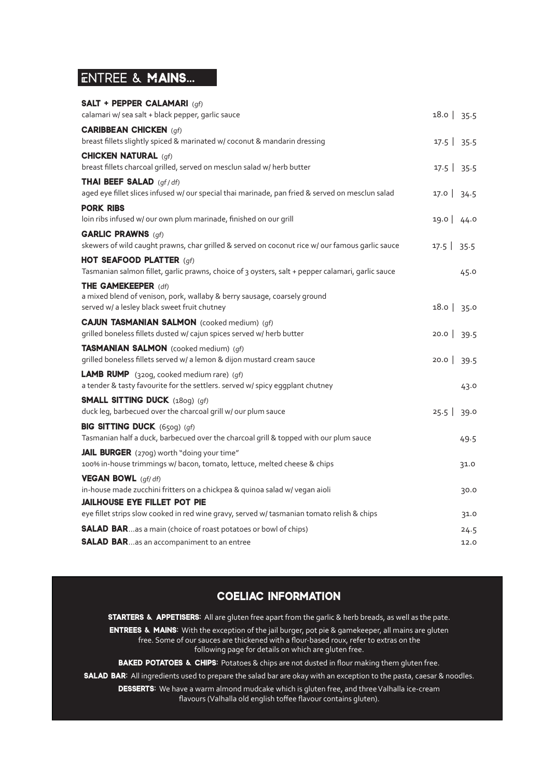## Entree & **Mains...**

### **SALT + PEPPER CALAMARI** (qf) calamari w/ sea salt + black pepper, garlic sauce 18.0 | 35.5 a 18.0 | 35.5 **CARIBBEAN CHICKEN (gf)** breast fillets slightly spiced & marinated w/ coconut & mandarin dressing 17.5 | 35.5 | 35.5 **CHICKEN NATURAL (gf)** breast fillets charcoal grilled, served on mesclun salad w/ herb butter 17.5 | 35.5 | 35.5 **THAI BEEF SALAD** (gf/df) aged eye fillet slices infused w/ our special thai marinade, pan fried & served on mesclun salad 17.0 | 34.5 **pork ribs** loin ribs infused w/ our own plum marinade, finished on our grill 19.0 | 44.0  $\frac{1}{2}$ **GARLIC PRAWNS** (gf) skewers of wild caught prawns, char grilled & served on coconut rice w/ our famous garlic sauce 17.5 | 35.5 **HOT SEAFOOD PLATTER** (gf) Tasmanian salmon fillet, garlic prawns, choice of 3 oysters, salt + pepper calamari, garlic sauce 45.0 **THE GAMEKEEPER** (df) a mixed blend of venison, pork, wallaby & berry sausage, coarsely ground served w/ a lesley black sweet fruit chutney 18.0 | 35.0 | 35.0 | 35.0 | 35.0 | 35.0 | 35.0 | 35.0 | 35.0 | 35 **cajun tasmanian salmon** (cooked medium) (gf) grilled boneless fillets dusted w/ cajun spices served w/ herb butter 20.0 | 39.5 **tasmanian salmon** (cooked medium) (gf) grilled boneless fillets served w/ a lemon & dijon mustard cream sauce 20.0 | 39.5 **LAMB RUMP** (320g, cooked medium rare) (gf) a tender & tasty favourite for the settlers. served w/ spicy eggplant chutney 43.0 **SMALL SITTING DUCK** (180g) (gf) duck leg, barbecued over the charcoal grill w/ our plum sauce 25.5 | 39.0 **BIG SITTING DUCK** (650g) (gf) Tasmanian half a duck, barbecued over the charcoal grill & topped with our plum sauce 49.5 **JAIL BURGER** (270g) worth "doing your time" 100% in-house trimmings w/ bacon, tomato, lettuce, melted cheese & chips 31.0 **vegan bowl** (gf/ df) in-house made zucchini fritters on a chickpea & quinoa salad w/ vegan aioli 30.0 **jailhouse eye fillet pot pie** eye fillet strips slow cooked in red wine gravy, served w/ tasmanian tomato relish & chips 31.0 **SALAD BAR**…as a main (choice of roast potatoes or bowl of chips) 24.5

### **SALAD BAR**…as an accompaniment to an entree 12.0

### **coeliac information**

**STARTERS & APPETISERS:** All are gluten free apart from the garlic & herb breads, as well as the pate.

**entrees & mains:** With the exception of the jail burger, pot pie & gamekeeper, all mains are gluten free. Some of our sauces are thickened with a flour-based roux, refer to extras on the following page for details on which are gluten free.

**BAKED POTATOES & CHIPS:** Potatoes & chips are not dusted in flour making them gluten free.

**SALAD BAR:** All ingredients used to prepare the salad bar are okay with an exception to the pasta, caesar & noodles.

**desserts:** We have a warm almond mudcake which is gluten free, and three Valhalla ice-cream flavours (Valhalla old english toffee flavour contains gluten).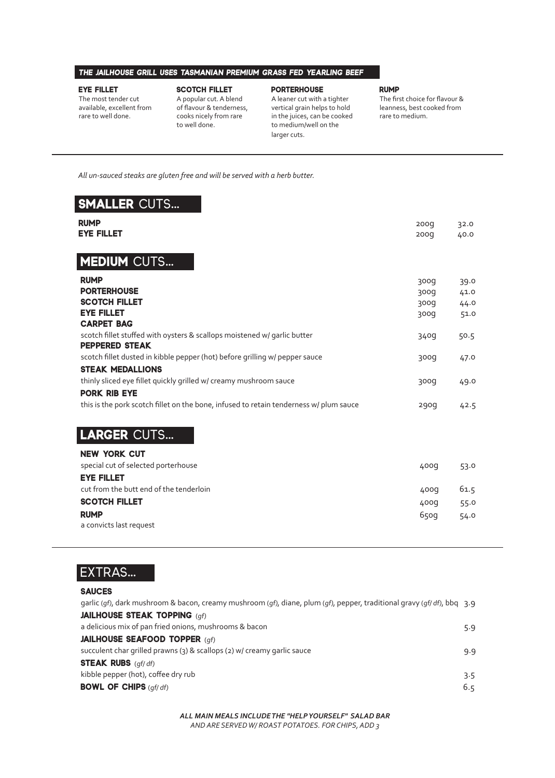### **the jailhouse grill uses tasmanian premium grass fed yearling beef**

#### **eye fillet**

The most tender cut available, excellent from rare to well done.

#### **scotch fillet**

**porterhouse**

larger cuts.

#### **rump**

The first choice for flavour & leanness, best cooked from rare to medium.

A popular cut. A blend of flavour & tenderness, cooks nicely from rare to well done.

#### A leaner cut with a tighter vertical grain helps to hold

in the juices, can be cooked to medium/well on the

 *All un-sauced steaks are gluten free and will be served with a herb butter.* 

## **smaller** cuts**...**

| <b>RUMP</b><br><b>EYE FILLET</b>                                                                       | 200 <sub>g</sub><br>200q                   | 32.0<br>40.0                 |
|--------------------------------------------------------------------------------------------------------|--------------------------------------------|------------------------------|
| <b>MEDIUM CUTS</b>                                                                                     |                                            |                              |
| <b>RUMP</b><br><b>PORTERHOUSE</b><br><b>SCOTCH FILLET</b><br><b>EYE FILLET</b><br><b>CARPET BAG</b>    | <b>300d</b><br><b>300d</b><br>300g<br>300g | 39.0<br>41.0<br>44.0<br>51.0 |
| scotch fillet stuffed with oysters & scallops moistened w/ garlic butter<br><b>PEPPERED STEAK</b>      | 340g                                       | 50.5                         |
| scotch fillet dusted in kibble pepper (hot) before grilling w/ pepper sauce<br><b>STEAK MEDALLIONS</b> | <b>poos</b>                                | 47.0                         |
| thinly sliced eye fillet quickly grilled w/ creamy mushroom sauce<br><b>PORK RIB EYE</b>               | 300g                                       | 49.0                         |
| this is the pork scotch fillet on the bone, infused to retain tenderness w/ plum sauce                 | 290q                                       | 42.5                         |
| <b>LARGER CUTS</b>                                                                                     |                                            |                              |
| <b>NEW YORK CUT</b><br>special cut of selected porterhouse<br><b>EYE FILLET</b>                        | 400q                                       | 53.0                         |

cut from the butt end of the tenderloin and the tenderloin 400g 61.5 **SCOTCH FILLET** 400g 55.0 **rump** 650g 54.0 a convicts last request

# extras**...**

### **sauces**

| garlic (qf), dark mushroom & bacon, creamy mushroom (qf), diane, plum (qf), pepper, traditional gravy (qf/df), bbq 3.9 |     |
|------------------------------------------------------------------------------------------------------------------------|-----|
| <b>JAILHOUSE STEAK TOPPING (qf)</b>                                                                                    |     |
| a delicious mix of pan fried onions, mushrooms & bacon                                                                 | 5.9 |
| <b>JAILHOUSE SEAFOOD TOPPER (qf)</b>                                                                                   |     |
| succulent char grilled prawns (3) & scallops (2) w/ creamy garlic sauce                                                | 9.9 |
| <b>STEAK RUBS</b> (qf/df)                                                                                              |     |
| kibble pepper (hot), coffee dry rub                                                                                    | 3.5 |
| <b>BOWL OF CHIPS (qf/df)</b>                                                                                           | 6.5 |

*ALL MAIN MEALS INCLUDE THE "HELP YOURSELF" SALAD BAR AND ARE SERVED W/ ROAST POTATOES. FOR CHIPS, ADD 3*